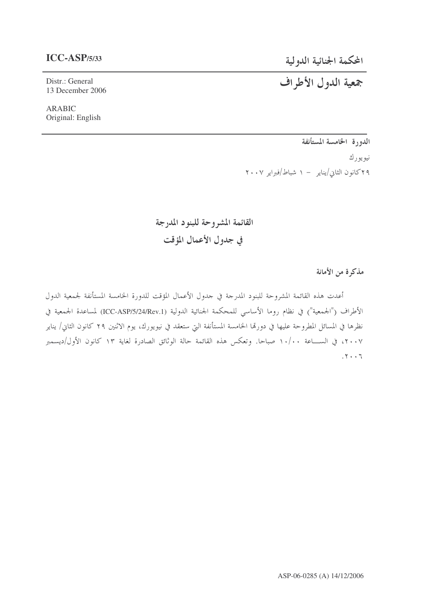### **ICC-ASP/5/33**

Distr.: General 13 December 2006

ARABIC Original: English المحكمة الجنائية الدولية

# جمعية الدول الأطراف

الدورة الخامسة المستأنفة نيويورك ۲۹کانون الثاني/يناير – ۱ شباط/فبراير ۲۰۰۷

القائمة المشروحة للبنود المدرجة في جدول الأعمال المؤقت

مذكرة من الأمانة

أعدت هذه القائمة المشروحة للبنود المدرحة في جدول الأعمال المؤقت للدورة الخامسة المستأنفة لجمعية الدول الأطراف ("الجمعية") في نظام روما الأساسي للمحكمة الجنائية الدولية (ICC-ASP/5/24/Rev.1) لمساعدة الجمعية في نظرها في المسائل المطروحة عليها في دورتما الخامسة المستأنفة التي ستعقد في نيويورك، يوم الاثنين ٢٩ كانون الثاني/ يناير ٢٠٠٧، في الســــاعة ١٠/٠٠ صباحا. وتعكس هذه القائمة حالة الوثائق الصادرة لغاية ١٣ كانون الأول/ديسمبر  $.7.77$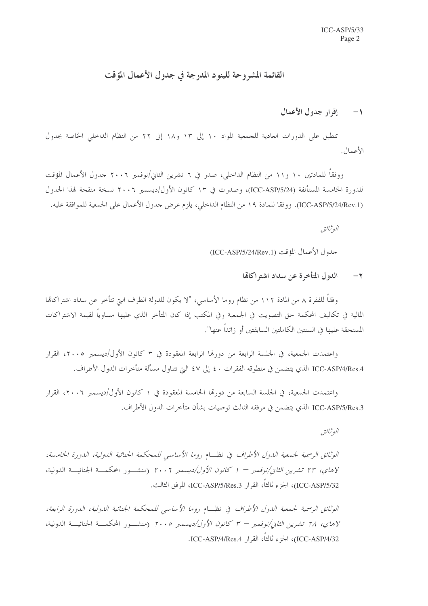## القائمة المشروحة للبنود المدرجة في جدول الأعمال المؤقت

### 1- إقرار جدول الأعمال

تنطبق على الدورات العادية للجمعية المواد ١٠ إلى ١٣ و١٨ إلى ٢٢ من النظام الداخلي الخاصة بجدول الأعمال.

ووفقاً للمادتين ١٠ و١١ من النظام الداخلي، صدر في ٦ تشرين الثاني/نوفمبر ٢٠٠٦ جدول الأعمال المؤقت للدورة الخامسة المستأنفة (ICC-ASP/5/24)، وصدرت في ١٣ كانون الأول/ديسمبر ٢٠٠٦ نسخة منقحة لهذا الجدول (ICC-ASP/5/24/Rev.1). ووفقا للمادة ١٩ من النظام الداخلي، يلزم عرض حدول الأعمال على الجمعية للموافقة عليه.

البوثيائيق

جدول الأعمال المؤقت (ICC-ASP/5/24/Rev.1)

الدول المتأخرة عن سداد اشتراكالها  $-7$ 

وفقاً للفقرة ٨ من المادة ١١٢ من نظام روما الأساسي، "لا يكون للدولة الطرف التي تتأخر عن سداد اشتراكاتما المالية في تكاليف المحكمة حق التصويت في الجمعية وفي المكتب إذا كان المتأخر الذي عليها مساوياً لقيمة الاشتراكات المستحقة عليها في السنتين الكاملتين السابقتين أو زائداً عنها".

واعتمدت الجمعية، في الجلسة الرابعة من دورها الرابعة المعقودة في ٣ كانون الأول/ديسمبر ٢٠٠٥، القرار ICC-ASP/4/Res.4 الذي يتضمن في منطوقه الفقرات ٤٠ إلى ٤٧ التي تتناول مسألة متأخرات الدول الأطراف.

واعتمدت الجمعية، في الجلسة السابعة من دورتما الخامسة المعقودة في ١ كانون الأول/ديسمبر ٢٠٠٦، القرار ICC-ASP/5/Res.3 الذي يتضمن في مرفقه الثالث توصيات بشأن متأخرات الدول الأطراف.

البوثيائق

الوثائق الرسمية لجمعية الدول الأطراف في نظــام روما الأساسي للمحكمة الجنائية الدولية، الدورة الخامسة، لا*هاي، ٢٣ تشرين الثاني/نوفمبر – ١ كانون الأول/ديسمبر ٢٠٠٦* (منشــور المحكمــة الجنائيـــة الدولية، ICC-ASP/5/32)، الجزء ثالثاً، القرار ICC-ASP/5/Res.3، المرفق الثالث.

الوثائق الرسمية لجيمعية اللهول الأطراف في نظسام روما الأساسبي للمحكمة الجنائية اللهولية، اللهورة الرابعة، لإ*هاى، ٢٨ تشرين الثاني/نوفمبر – ٣ كانون الأول/ديسمبر ٢٠٠٥* (منشــور المحكمــة الجنائيـــة الدولية، ICC-ASP/4/32)، الجزء ثالثاً، القرار ICC-ASP/4/Res.4.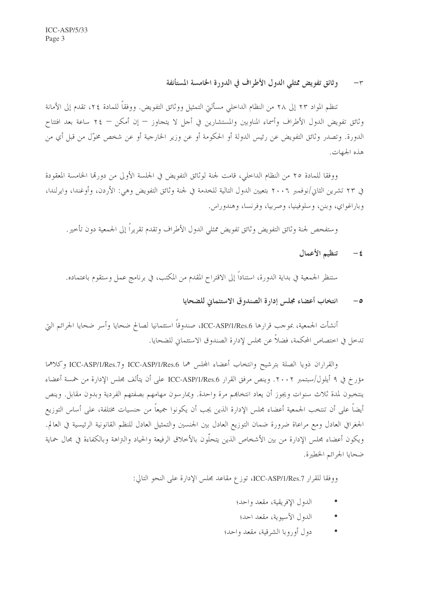#### وثائق تفويض ممثلي الدول الأطراف في الدورة الخامسة المستأنفة  $-\tau$

تنظم المواد ٢٣ إلى ٢٨ من النظام الداحلي مسألتي التمثيل ووثائق التفويض. ووفقاً للمادة ٢٤، تقدم إلى الأمانة وثائق تفويض الدول الأطراف وأسماء المناوبين والمستشارين في أجل لا يتجاوز — إن أمكن — ٢٤ ساعة بعد افتتاح الدورة. وتصدر وثائق التفويض عن رئيس الدولة أو الحكومة أو عن وزير الخارجية أو عن شخص مخوّل من قبل أي من هذه الجهات.

ووفقًا للمادة ٢٥ من النظام الداخلي، قامت لجنة لوثائق التفويض في الجلسة الأولى من دورها الخامسة المعقودة في ٢٣ تشرين الثاني/نوفمبر ٢٠٠٦ بتعيين الدول التالية للخدمة في لجنة وثائق التفويض وهي: الأردن، وأوغندا، وايرلندا، وباراغواي، وبنن، وسلوفينيا، وصربيا، وفرنسا، وهندوراس.

وستفحص لجنة وثائق التفويض وثائق تفويض ممثلي الدول الأطراف وتقدم تقريراً إلى الجمعية دون تأحير .

#### تنظيم الأعمال  $-\epsilon$

ستنظر الجمعية في بداية الدورة، استنادًا إلى الاقتراح المقدم من المكتب، في برنامج عمل وستقوم باعتماده.

#### انتخاب أعضاء مجلس إدارة الصندوق الاستئماني للضحايا  $-\circ$

أنشأت الجمعية، بموجب قرارها ICC-ASP/1/Res.6، صندوقاً استئمانيا لصالح ضحايا وأسر ضحايا الجرائم التي تدخل في اختصاص المحكمة، فضلاً عن مجلس لإدارة الصندوق الاستئماني للضحايا.

والقراران ذويا الصلة بترشيح وانتخاب أعضاء المجلس هما ICC-ASP/1/Res.6 وICC-ASP/1/Res.7 وكلاهما مؤرخ في ٩ أيلول/سبتمبر ٢٠٠٢. وينص مرفق القرار ICC-ASP/1/Res.6 على أن يتألف مجلس الإدارة من خمسة أعضاء ينتخبون لمدة ثلاث سنوات ويجوز أن يعاد انتخاهم مرة واحدة. ويمارسون مهامهم بصفتهم الفردية وبدون مقابل. وينص أيضاً على أن تنتخب الجمعية أعضاء مجلس الإدارة الذين يجب أن يكونوا جميعاً من حنسيات مختلفة، على أساس التوزيع الجغرافي العادل ومع مراعاة ضرورة ضمان التوزيع العادل بين الجنسين والتمثيل العادل للنظم القانونية الرئيسية في العالم. ويكون أعضاء مجلس الإدارة من بين الأشخاص الذين يتحلُّون بالأخلاق الرفيعة والحياد والتراهة وبالكفاءة في مجال حماية ضحابا الجرائم الخطيرة.

ووفقا للقرار ICC-ASP/1/Res.7، توزع مقاعد مجلس الإدارة على النحو التالي:

- الدول الإفريقية، مقعد واحد؛
- الدول الآسيوية، مقعد احد؛
- دول أوروبا الشرقية، مقعد واحد؛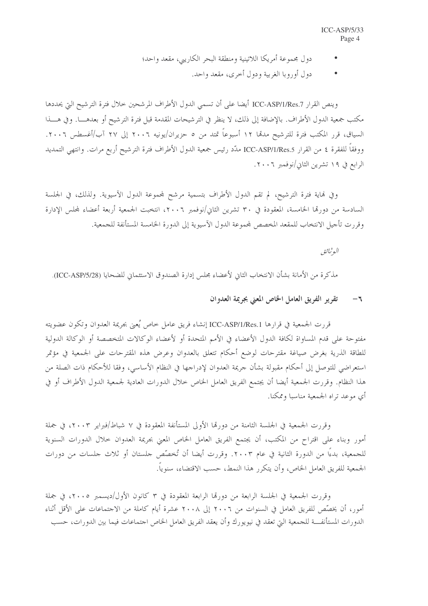- دول مجموعة أمريكا اللاتينية ومنطقة البحر الكاريبي، مقعد واحد؛
	- دول أوروبا الغربية ودول أحرى، مقعد واحد.

وينص القرار ICC-ASP/1/Res.7 أيضا على أن تسمى الدول الأطراف المرشحين خلال فترة الترشيح التي يحددها مكتب جمعية الدول الأطراف. بالإضافة إلى ذلك، لا ينظر في الترشيحات المقدمة قبل فترة الترشيح أو بعدهــــا. وفي هــــذا السياق، قرر المكتب فترة للترشيح مدمّا ١٢ أسبوعاً تمتد من ٥ حزيران/يونيه ٢٠٠٦ إلى ٢٧ آب/أغسطس ٢٠٠٦. ووفقاً للفقرة ٤ من القرار ICC-ASP/1/Res.5 مدّد رئيس جمعية الدول الأطراف فترة الترشيح أربع مرات. وانتهى التمديد الرابع في ١٩ تشرين الثاني/نوفمبر ٢٠٠٦.

وفي هاية فترة الترشيح، لم تقم الدول الأطراف بتسمية مرشح لمجموعة الدول الآسيوية. ولذلك، في الجلسة السادسة من دورقما الخامسة، المعقودة في ٣٠ تشرين الثاني/نوفمبر ٢٠٠٦، انتخبت الجمعية أربعة أعضاء لمجلس الإدارة وقررت تأجيل الانتخاب للمقعد المخصص لمحموعة الدول الآسيوية إلى الدورة الخامسة المستأنفة للجمعية.

البوثيائق

مذكرة من الأمانة بشأن الانتخاب الثاني لأعضاء مجلس إدارة الصندوق الاستئماني للضحايا (ICC-ASP/5/28).

#### تقرير الفريق العامل الخاص المعنى بجريمة العدوان  $-\pi$

قررت الجمعية في قرارها ICC-ASP/1/Res.1 إنشاء فريق عامل خاص يُعيّ بجريمة العدوان وتكون عضويته مفتوحة على قدم المساواة لكافة الدول الأعضاء في الأمم المتحدة أو لأعضاء الوكالات المتخصصة أو الوكالة الدولية للطاقة الذرية بغرض صياغة مقترحات لوضع أحكام تتعلق بالعدوان وعرض هذه المقترحات على الجمعية في مؤتمر استعراضي للتوصل إلى أحكام مقبولة بشأن جريمة العدوان لإدراجها في النظام الأساسي، وفقا للأحكام ذات الصلة من هذا النظام. وقررت الجمعية أيضا أن يجتمع الفريق العامل الخاص خلال الدورات العادية لجمعية الدول الأطراف أو في أي موعد تراه الجمعية مناسبا وممكنا.

وقررت الجمعية في الجلسة الثامنة من دورتما الأولى المستأنفة المعقودة في ٧ شباط/فبراير ٢٠٠٣، في جملة أمور وبناء على اقتراح من المكتب، أن يجتمع الفريق العامل الخاص المعنى بجريمة العدوان حلال الدورات السنوية للجمعية، بدءًا من الدورة الثانية في عام ٢٠٠٣. وقررت أيضا أن تُخصِّص حلستان أو ثلاث حلسات من دورات الجمعية للفريق العامل الخاص، وأن يتكرر هذا النمط، حسب الاقتضاء، سنوياً.

وقررت الجمعية في الجلسة الرابعة من دورتما الرابعة المعقودة في ٣ كانون الأول/ديسمبر ٢٠٠٥، في جملة أمور، أن يخصِّص للفريق العامل في السنوات من ٢٠٠٦ إلى ٢٠٠٨ عشرة أيام كاملة من الاحتماعات على الأقل أثناء الدورات المستأنفـــة للجمعية التي تعقد في نيويورك وأن يعقد الفريق العامل الخاص اجتماعات فيما بين الدورات، حسب